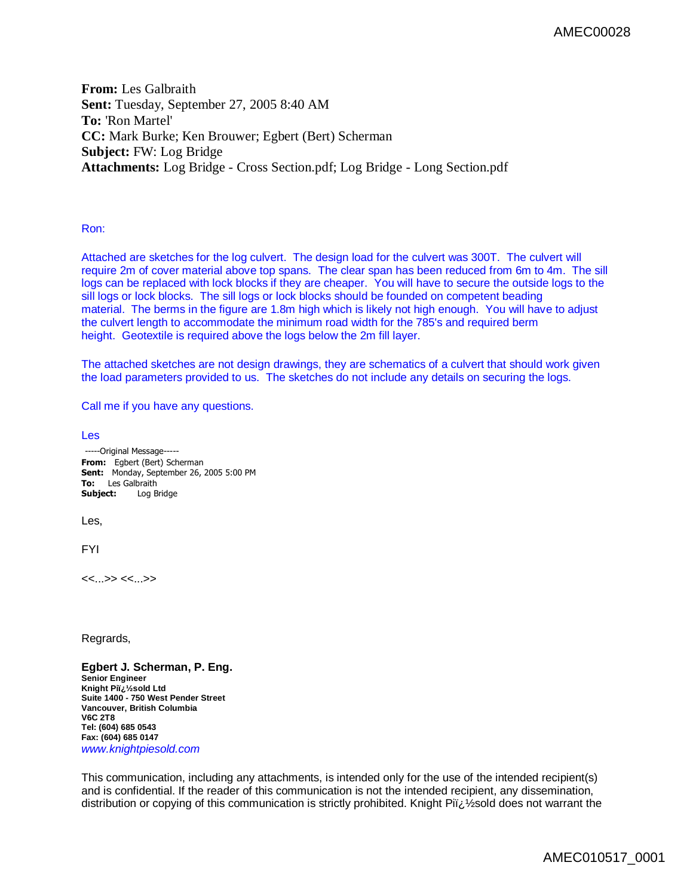**From:** Les Galbraith **Sent:** Tuesday, September 27, 2005 8:40 AM **To:** 'Ron Martel' **CC:** Mark Burke; Ken Brouwer; Egbert (Bert) Scherman **Subject:** FW: Log Bridge **Attachments:** Log Bridge - Cross Section.pdf; Log Bridge - Long Section.pdf

Ron:

Attached are sketches for the log culvert. The design load for the culvert was 300T. The culvert will require 2m of cover material above top spans. The clear span has been reduced from 6m to 4m. The sill logs can be replaced with lock blocks if they are cheaper. You will have to secure the outside logs to the sill logs or lock blocks. The sill logs or lock blocks should be founded on competent beading material. The berms in the figure are 1.8m high which is likely not high enough. You will have to adjust the culvert length to accommodate the minimum road width for the 785's and required berm height. Geotextile is required above the logs below the 2m fill layer.

The attached sketches are not design drawings, they are schematics of a culvert that should work given the load parameters provided to us. The sketches do not include any details on securing the logs.

Call me if you have any questions.

Les

-----Original Message----- **From:** Egbert (Bert) Scherman **Sent:** Monday, September 26, 2005 5:00 PM **To:** Les Galbraith **Subject:** Log Bridge Les, FYI <<...>> <<...>>

Regrards,

**Egbert J. Scherman, P. Eng. Senior Engineer Knight Pi�sold Ltd Suite 1400 - 750 West Pender Street Vancouver, British Columbia V6C 2T8 Tel: (604) 685 0543 Fax: (604) 685 0147** *[www.knightpiesold.com](http://www.knightpiesold.com)*

This communication, including any attachments, is intended only for the use of the intended recipient(s) and is confidential. If the reader of this communication is not the intended recipient, any dissemination, distribution or copying of this communication is strictly prohibited. Knight Pij & sold does not warrant the